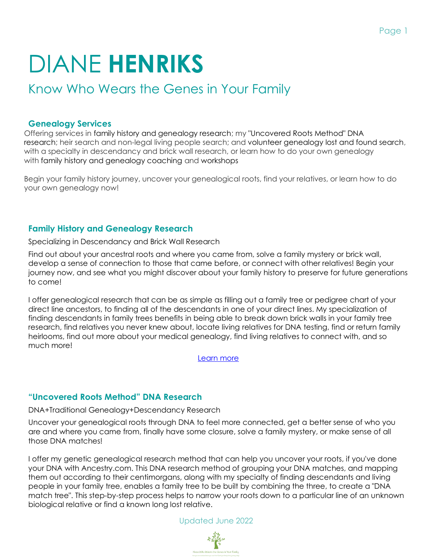# DIANE **HENRIKS**

# Know Who Wears the Genes in Your Family

#### **Genealogy Services**

Offering services in family history and genealogy research; my "Uncovered Roots Method" DNA research; heir search and non-legal living people search; and volunteer genealogy lost and found search, with a specialty in descendancy and brick wall research, or learn how to do your own genealogy with family history and genealogy coaching and workshops

Begin your family history journey, uncover your genealogical roots, find your relatives, or learn how to do your own genealogy now!

## **Family History and Genealogy Research**

Specializing in Descendancy and Brick Wall Research

Find out about your ancestral roots and where you came from, solve a family mystery or brick wall, develop a sense of connection to those that came before, or connect with other relatives! Begin your journey now, and see what you might discover about your family history to preserve for future generations to come!

I offer genealogical research that can be as simple as filling out a family tree or pedigree chart of your direct line ancestors, to finding all of the descendants in one of your direct lines. My specialization of finding descendants in family trees benefits in being able to break down brick walls in your family tree research, find relatives you never knew about, locate living relatives for DNA testing, find or return family heirlooms, find out more about your medical genealogy, find living relatives to connect with, and so much more!

[Learn more](https://www.knowwhowearsthegenesinyourfamily.com/family-history-and-genealogy-research.html)

## **"Uncovered Roots Method" DNA Research**

DNA+Traditional Genealogy+Descendancy Research

Uncover your genealogical roots through DNA to feel more connected, get a better sense of who you are and where you came from, finally have some closure, solve a family mystery, or make sense of all those DNA matches!

I offer my genetic genealogical research method that can help you uncover your roots, if you've done your DNA with Ancestry.com. This DNA research method of grouping your DNA matches, and mapping them out according to their centimorgans, along with my specialty of finding descendants and living people in your family tree, enables a family tree to be built by combining the three, to create a "DNA match tree". This step-by-step process helps to narrow your roots down to a particular line of an unknown biological relative or find a known long lost relative.



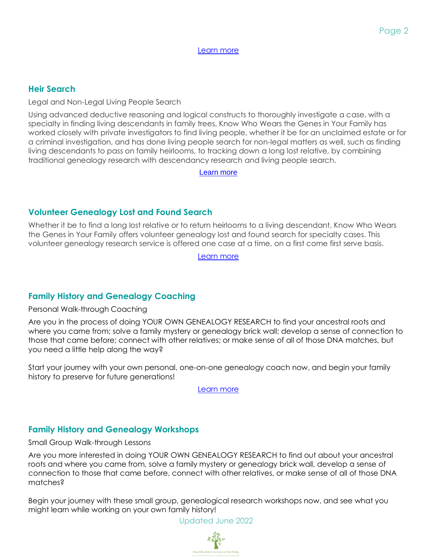[Learn more](https://www.knowwhowearsthegenesinyourfamily.com/uncovered-roots-method-research.html)

#### **Heir Search**

Legal and Non-Legal Living People Search

Using advanced deductive reasoning and logical constructs to thoroughly investigate a case, with a specialty in finding living descendants in family trees, Know Who Wears the Genes in Your Family has worked closely with private investigators to find living people, whether it be for an unclaimed estate or for a criminal investigation, and has done living people search for non-legal matters as well, such as finding living descendants to pass on family heirlooms, to tracking down a long lost relative, by combining traditional genealogy research with descendancy research and living people search.

[Learn more](https://www.knowwhowearsthegenesinyourfamily.com/heir-search.html)

#### **Volunteer Genealogy Lost and Found Search**

Whether it be to find a long lost relative or to return heirlooms to a living descendant, Know Who Wears the Genes in Your Family offers volunteer genealogy lost and found search for specialty cases. This volunteer genealogy research service is offered one case at a time, on a first come first serve basis.

[Learn more](https://www.knowwhowearsthegenesinyourfamily.com/volunteer-genealogy-lost-and-found-search.html)

## **Family History and Genealogy Coaching**

Personal Walk-through Coaching

Are you in the process of doing YOUR OWN GENEALOGY RESEARCH to find your ancestral roots and where you came from; solve a family mystery or genealogy brick wall; develop a sense of connection to those that came before; connect with other relatives; or make sense of all of those DNA matches, but you need a little help along the way?

Start your journey with your own personal, one-on-one genealogy coach now, and begin your family history to preserve for future generations!

[Learn more](https://www.knowwhowearsthegenesinyourfamily.com/family-history-and-genealogy-coaching.html)

## **Family History and Genealogy Workshops**

Small Group Walk-through Lessons

Are you more interested in doing YOUR OWN GENEALOGY RESEARCH to find out about your ancestral roots and where you came from, solve a family mystery or genealogy brick wall, develop a sense of connection to those that came before, connect with other relatives, or make sense of all of those DNA matches?

Begin your journey with these small group, genealogical research workshops now, and see what you might learn while working on your own family history!

Updated June 2022